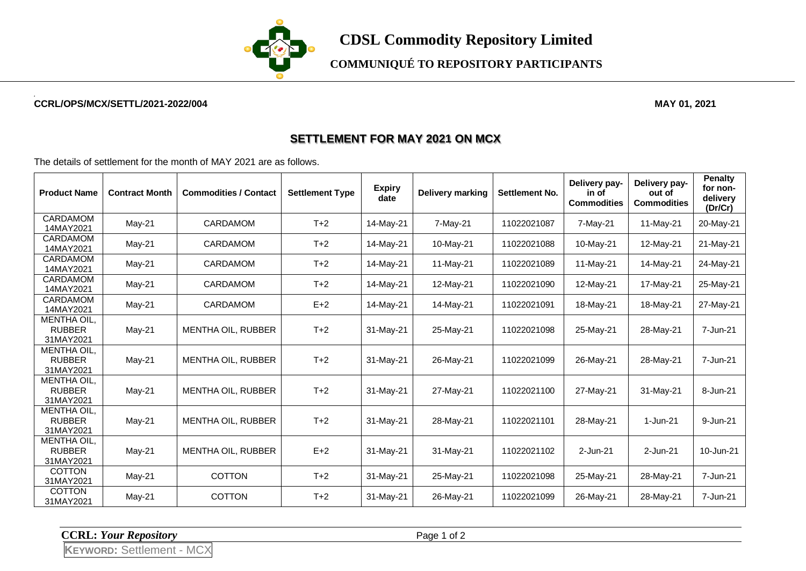

**COMMUNIQUÉ TO REPOSITORY PARTICIPANTS**

## **CCRL/OPS/MCX/SETTL/2021-2022/004 MAY 01, 2021**

## **SETTLEMENT FOR MAY 2021 ON MCX**

The details of settlement for the month of MAY 2021 are as follows.

| <b>Product Name</b>                              | <b>Contract Month</b> | <b>Commodities / Contact</b> | <b>Settlement Type</b> | <b>Expiry</b><br>date | <b>Delivery marking</b> | Settlement No. | Delivery pay-<br>in of<br><b>Commodities</b> | Delivery pay-<br>out of<br><b>Commodities</b> | <b>Penalty</b><br>for non-<br>delivery<br>(Dr/Cr) |
|--------------------------------------------------|-----------------------|------------------------------|------------------------|-----------------------|-------------------------|----------------|----------------------------------------------|-----------------------------------------------|---------------------------------------------------|
| CARDAMOM<br>14MAY2021                            | $May-21$              | CARDAMOM                     | $T+2$                  | 14-May-21             | 7-May-21                | 11022021087    | 7-May-21                                     | 11-May-21                                     | 20-May-21                                         |
| <b>CARDAMOM</b><br>14MAY2021                     | $May-21$              | <b>CARDAMOM</b>              | $T+2$                  | 14-May-21             | 10-May-21               | 11022021088    | 10-May-21                                    | 12-May-21                                     | 21-May-21                                         |
| CARDAMOM<br>14MAY2021                            | May-21                | <b>CARDAMOM</b>              | $T+2$                  | 14-May-21             | 11-May-21               | 11022021089    | 11-May-21                                    | 14-May-21                                     | 24-May-21                                         |
| <b>CARDAMOM</b><br>14MAY2021                     | May-21                | <b>CARDAMOM</b>              | $T+2$                  | 14-May-21             | 12-May-21               | 11022021090    | 12-May-21                                    | 17-May-21                                     | 25-May-21                                         |
| CARDAMOM<br>14MAY2021                            | May-21                | <b>CARDAMOM</b>              | $E+2$                  | 14-May-21             | 14-May-21               | 11022021091    | 18-May-21                                    | 18-May-21                                     | 27-May-21                                         |
| <b>MENTHA OIL.</b><br><b>RUBBER</b><br>31MAY2021 | May-21                | MENTHA OIL, RUBBER           | $T+2$                  | 31-May-21             | 25-May-21               | 11022021098    | 25-May-21                                    | 28-May-21                                     | 7-Jun-21                                          |
| MENTHA OIL,<br><b>RUBBER</b><br>31MAY2021        | May-21                | <b>MENTHA OIL, RUBBER</b>    | $T+2$                  | 31-May-21             | 26-May-21               | 11022021099    | 26-May-21                                    | 28-May-21                                     | 7-Jun-21                                          |
| <b>MENTHA OIL,</b><br><b>RUBBER</b><br>31MAY2021 | $May-21$              | MENTHA OIL, RUBBER           | $T+2$                  | 31-May-21             | 27-May-21               | 11022021100    | 27-May-21                                    | 31-May-21                                     | 8-Jun-21                                          |
| MENTHA OIL,<br><b>RUBBER</b><br>31MAY2021        | May-21                | <b>MENTHA OIL, RUBBER</b>    | $T+2$                  | 31-May-21             | 28-May-21               | 11022021101    | 28-May-21                                    | 1-Jun-21                                      | 9-Jun-21                                          |
| <b>MENTHA OIL.</b><br><b>RUBBER</b><br>31MAY2021 | $May-21$              | MENTHA OIL, RUBBER           | $E+2$                  | 31-May-21             | 31-May-21               | 11022021102    | 2-Jun-21                                     | 2-Jun-21                                      | 10-Jun-21                                         |
| <b>COTTON</b><br>31MAY2021                       | $May-21$              | <b>COTTON</b>                | $T+2$                  | 31-May-21             | 25-May-21               | 11022021098    | 25-May-21                                    | 28-May-21                                     | 7-Jun-21                                          |
| <b>COTTON</b><br>31MAY2021                       | May-21                | <b>COTTON</b>                | $T+2$                  | 31-May-21             | 26-May-21               | 11022021099    | 26-May-21                                    | 28-May-21                                     | 7-Jun-21                                          |

**CCRL:** *Your Repository* Page 1 of 2

**KEYWORD:** Settlement - MCX